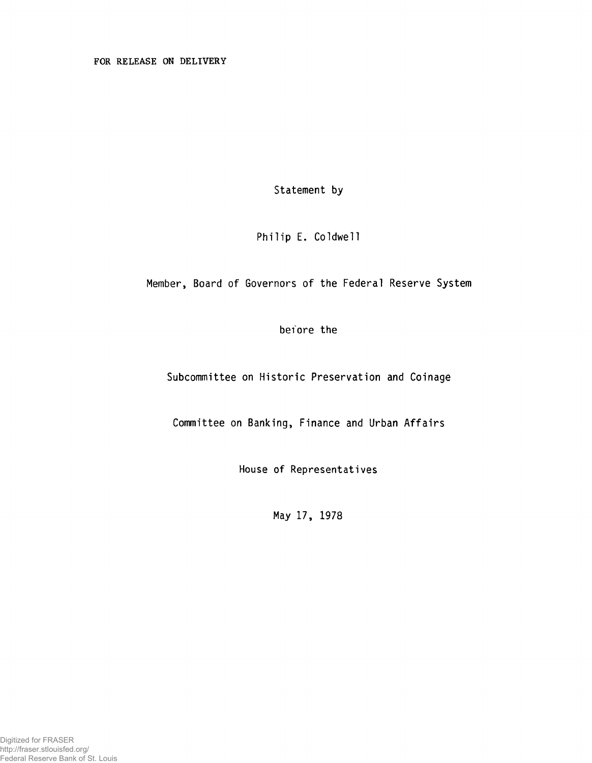Statement by

Philip E. Coldwell

Member, Board of Governors of the Federal Reserve System

before the

Subcommittee on Historic Preservation and Coinage

Committee on Banking, Finance and Urban Affairs

House of Representatives

May 17, 1978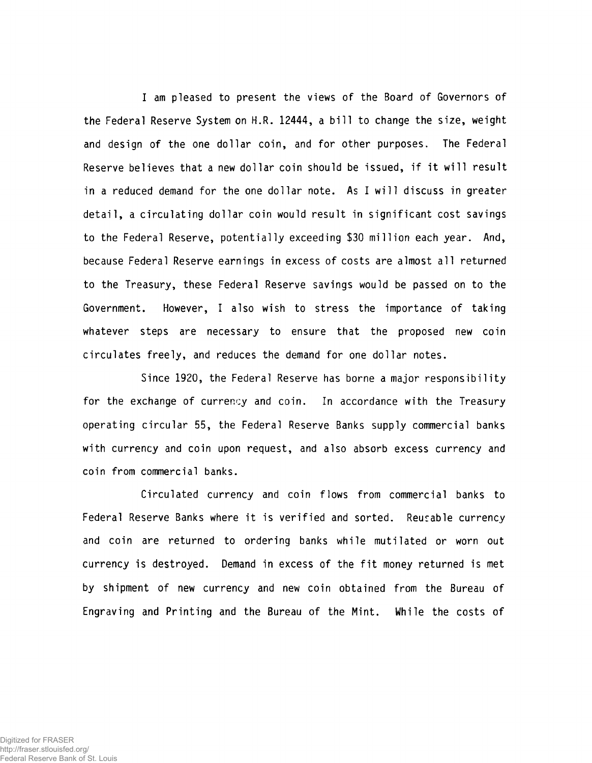I am pleased to present the views of the Board of Governors of the Federal Reserve System on H.R. 12444, a bill to change the size, weight and design of the one dollar coin, and for other purposes. The Federal Reserve believes that a new dollar coin should be issued, if it will result in a reduced demand for the one dollar note. As I will discuss in greater detail, a circulating dollar coin would result in significant cost savings to the Federal Reserve, potentially exceeding \$30 million each year. And, because Federal Reserve earnings in excess of costs are almost all returned to the Treasury, these Federal Reserve savings would be passed on to the Government. However, I also wish to stress the importance of taking whatever steps are necessary to ensure that the proposed new coin circulates freely, and reduces the demand for one dollar notes.

Since 1920, the Federal Reserve has borne a major responsibility for the exchange of currency and coin. In accordance with the Treasury operating circular 55, the Federal Reserve Banks supply commercial banks with currency and coin upon request, and also absorb excess currency and coin from commercial banks.

Circulated currency and coin flows from commercial banks to Federal Reserve Banks where it is verified and sorted. Reusable currency and coin are returned to ordering banks while mutilated or worn out currency is destroyed. Demand in excess of the fit money returned is met by shipment of new currency and new coin obtained from the Bureau of Engraving and Printing and the Bureau of the Mint. While the costs of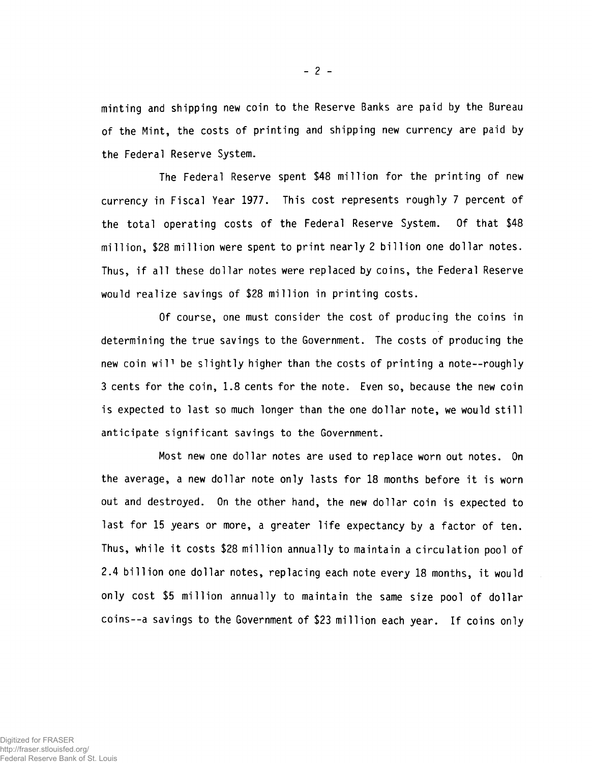minting and shipping new coin to the Reserve Banks are paid by the Bureau of the Mint, the costs of printing and shipping new currency are paid by the Federal Reserve System.

The Federal Reserve spent \$48 million for the printing of new currency in Fiscal Year 1977. This cost represents roughly 7 percent of the total operating costs of the Federal Reserve System. Of that \$48 million, \$28 million were spent to print nearly 2 billion one dollar notes. Thus, if all these dollar notes were replaced by coins, the Federal Reserve would realize savings of \$28 million in printing costs.

Of course, one must consider the cost of producing the coins in determining the true savings to the Government. The costs of producing the new coin wil<sup>1</sup> be slightly higher than the costs of printing a note--roughly 3 cents for the coin, 1.8 cents for the note. Even so, because the new coin is expected to last so much longer than the one dollar note, we would still anticipate significant savings to the Government.

Most new one dollar notes are used to replace worn out notes. On the average, a new dollar note only lasts for 18 months before it is worn out and destroyed. On the other hand, the new dollar coin is expected to last for 15 years or more, a greater life expectancy by a factor of ten. Thus, while it costs \$28 million annually to maintain a circulation pool of 2.4 billion one dollar notes, replacing each note every 18 months, it would only cost \$5 million annually to maintain the same size pool of dollar coins--a savings to the Government of \$23 million each year. If coins only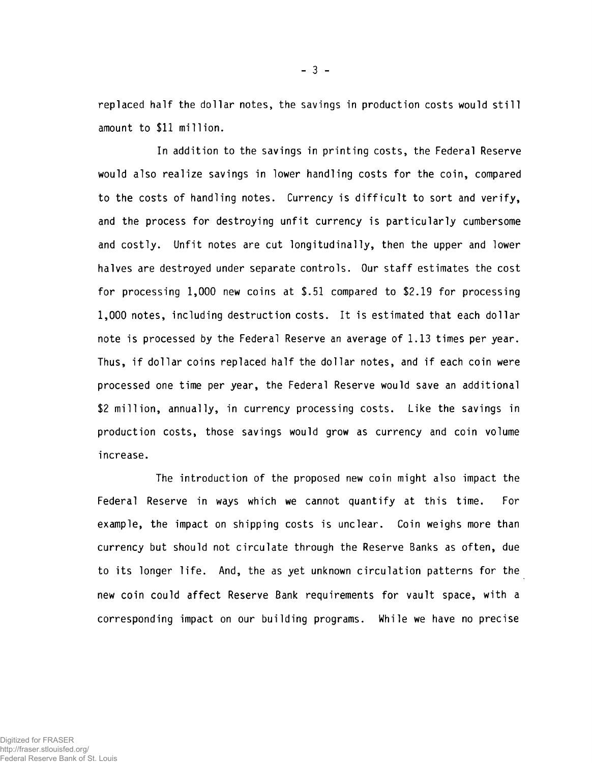replaced half the dollar notes, the savings in production costs would still amount to \$11 million.

In addition to the savings in printing costs, the Federal Reserve would also realize savings in lower handling costs for the coin, compared to the costs of handling notes. Currency is difficult to sort and verify, and the process for destroying unfit currency is particularly cumbersome and costly. Unfit notes are cut longitudinally, then the upper and lower halves are destroyed under separate controls. Our staff estimates the cost for processing 1,000 new coins at \$.51 compared to \$2.19 for processing 1,000 notes, including destruction costs. It is estimated that each dollar note is processed by the Federal Reserve an average of 1.13 times per year. Thus, if dollar coins replaced half the dollar notes, and if each coin were processed one time per year, the Federal Reserve would save an additional \$2 million, annually, in currency processing costs. Like the savings in production costs, those savings would grow as currency and coin volume increase.

The introduction of the proposed new coin might also impact the Federal Reserve in ways which we cannot quantify at this time. For example, the impact on shipping costs is unclear. Coin weighs more than currency but should not circulate through the Reserve Banks as often, due to its longer life. And, the as yet unknown circulation patterns for the new coin could affect Reserve Bank requirements for vault space, with a corresponding impact on our building programs. While we have no precise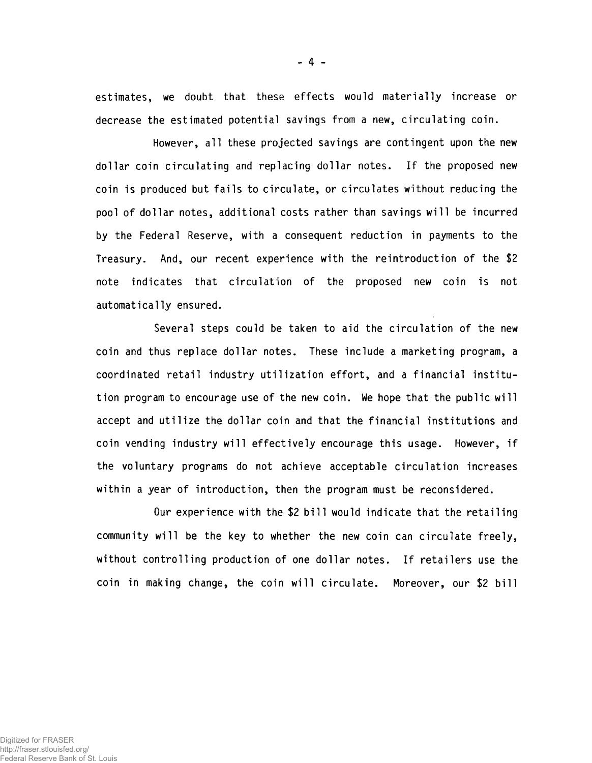estimates, we doubt that these effects would materially increase or decrease the estimated potential savings from a new, circulating coin.

However, all these projected savings are contingent upon the new dollar coin circulating and replacing dollar notes. If the proposed new coin is produced but fails to circulate, or circulates without reducing the pool of dollar notes, additional costs rather than savings will be incurred by the Federal Reserve, with a consequent reduction in payments to the Treasury. And, our recent experience with the réintroduction of the \$2 note indicates that circulation of the proposed new coin is not automatically ensured.

Several steps could be taken to aid the circulation of the new coin and thus replace dollar notes. These include a marketing program, a coordinated retail industry utilization effort, and a financial institution program to encourage use of the new coin. We hope that the public will accept and utilize the dollar coin and that the financial institutions and coin vending industry will effectively encourage this usage. However, if the voluntary programs do not achieve acceptable circulation increases within a year of introduction, then the program must be reconsidered.

Our experience with the \$2 bill would indicate that the retailing community will be the key to whether the new coin can circulate freely, without controlling production of one dollar notes. If retailers use the coin in making change, the coin will circulate. Moreover, our \$2 bill

 $-4 -$